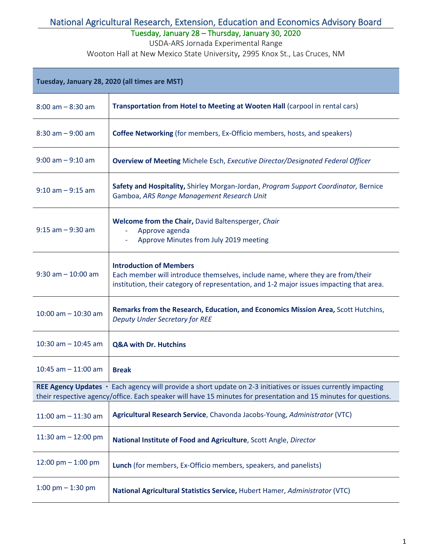Tuesday, January 28 – Thursday, January 30, 2020

USDA-ARS Jornada Experimental Range

| Tuesday, January 28, 2020 (all times are MST) |                                                                                                                                                                                                                                   |  |
|-----------------------------------------------|-----------------------------------------------------------------------------------------------------------------------------------------------------------------------------------------------------------------------------------|--|
| $8:00$ am $-8:30$ am                          | Transportation from Hotel to Meeting at Wooten Hall (carpool in rental cars)                                                                                                                                                      |  |
| $8:30$ am $-9:00$ am                          | <b>Coffee Networking</b> (for members, Ex-Officio members, hosts, and speakers)                                                                                                                                                   |  |
| $9:00$ am $-9:10$ am                          | <b>Overview of Meeting Michele Esch, Executive Director/Designated Federal Officer</b>                                                                                                                                            |  |
| $9:10$ am $-9:15$ am                          | Safety and Hospitality, Shirley Morgan-Jordan, Program Support Coordinator, Bernice<br>Gamboa, ARS Range Management Research Unit                                                                                                 |  |
| $9:15$ am $-9:30$ am                          | Welcome from the Chair, David Baltensperger, Chair<br>Approve agenda<br>Approve Minutes from July 2019 meeting                                                                                                                    |  |
| $9:30$ am $-10:00$ am                         | <b>Introduction of Members</b><br>Each member will introduce themselves, include name, where they are from/their<br>institution, their category of representation, and 1-2 major issues impacting that area.                      |  |
| $10:00$ am $- 10:30$ am                       | Remarks from the Research, Education, and Economics Mission Area, Scott Hutchins,<br><b>Deputy Under Secretary for REE</b>                                                                                                        |  |
| 10:30 am $-$ 10:45 am                         | <b>Q&amp;A with Dr. Hutchins</b>                                                                                                                                                                                                  |  |
| 10:45 am $-$ 11:00 am                         | <b>Break</b>                                                                                                                                                                                                                      |  |
|                                               | REE Agency Updates · Each agency will provide a short update on 2-3 initiatives or issues currently impacting<br>their respective agency/office. Each speaker will have 15 minutes for presentation and 15 minutes for questions. |  |
| 11:00 am $-$ 11:30 am                         | Agricultural Research Service, Chavonda Jacobs-Young, Administrator (VTC)                                                                                                                                                         |  |
| 11:30 am $-$ 12:00 pm                         | National Institute of Food and Agriculture, Scott Angle, Director                                                                                                                                                                 |  |
| 12:00 pm $-$ 1:00 pm                          | Lunch (for members, Ex-Officio members, speakers, and panelists)                                                                                                                                                                  |  |
| 1:00 pm $-$ 1:30 pm                           | National Agricultural Statistics Service, Hubert Hamer, Administrator (VTC)                                                                                                                                                       |  |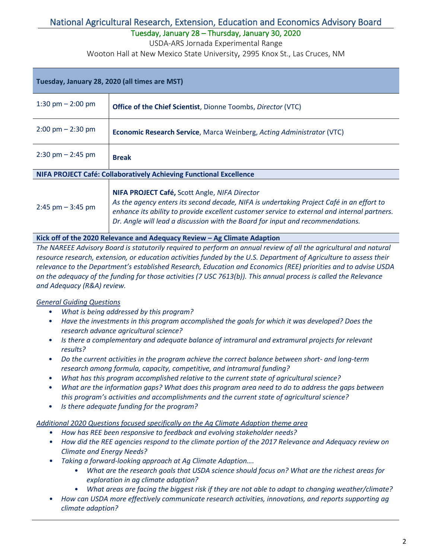Tuesday, January 28 – Thursday, January 30, 2020

USDA-ARS Jornada Experimental Range

Wooton Hall at New Mexico State University, 2995 Knox St., Las Cruces, NM

| Tuesday, January 28, 2020 (all times are MST)                      |                                                                                                                                                                                                                                                                                                                             |  |
|--------------------------------------------------------------------|-----------------------------------------------------------------------------------------------------------------------------------------------------------------------------------------------------------------------------------------------------------------------------------------------------------------------------|--|
| 1:30 pm $- 2:00$ pm                                                | <b>Office of the Chief Scientist</b> , Dionne Toombs, Director (VTC)                                                                                                                                                                                                                                                        |  |
| $2:00 \text{ pm} - 2:30 \text{ pm}$                                | <b>Economic Research Service, Marca Weinberg, Acting Administrator (VTC)</b>                                                                                                                                                                                                                                                |  |
| $2:30 \text{ pm} - 2:45 \text{ pm}$                                | <b>Break</b>                                                                                                                                                                                                                                                                                                                |  |
| NIFA PROJECT Café: Collaboratively Achieving Functional Excellence |                                                                                                                                                                                                                                                                                                                             |  |
| $2:45$ pm $-3:45$ pm                                               | NIFA PROJECT Café, Scott Angle, NIFA Director<br>As the agency enters its second decade, NIFA is undertaking Project Café in an effort to<br>enhance its ability to provide excellent customer service to external and internal partners.<br>Dr. Angle will lead a discussion with the Board for input and recommendations. |  |

#### **Kick off of the 2020 Relevance and Adequacy Review – Ag Climate Adaption**

*The NAREEE Advisory Board is statutorily required to perform an annual review of all the agricultural and natural resource research, extension, or education activities funded by the U.S. Department of Agriculture to assess their relevance to the Department's established Research, Education and Economics (REE) priorities and to advise USDA on the adequacy of the funding for those activities (7 USC 7613(b)). This annual process is called the Relevance and Adequacy (R&A) review.* 

### *General Guiding Questions*

- *What is being addressed by this program?*
- *Have the investments in this program accomplished the goals for which it was developed? Does the research advance agricultural science?*
- *Is there a complementary and adequate balance of intramural and extramural projects for relevant results?*
- *Do the current activities in the program achieve the correct balance between short- and long-term research among formula, capacity, competitive, and intramural funding?*
- *What has this program accomplished relative to the current state of agricultural science?*
- *What are the information gaps? What does this program area need to do to address the gaps between this program's activities and accomplishments and the current state of agricultural science?*
- *Is there adequate funding for the program?*

#### *Additional 2020 Questions focused specifically on the Ag Climate Adaption theme area*

- *How has REE been responsive to feedback and evolving stakeholder needs?*
- *How did the REE agencies respond to the climate portion of the 2017 Relevance and Adequacy review on Climate and Energy Needs?*
- *Taking a forward-looking approach at Ag Climate Adaption….*
	- *What are the research goals that USDA science should focus on? What are the richest areas for exploration in ag climate adaption?*
	- *What areas are facing the biggest risk if they are not able to adapt to changing weather/climate?*
- *How can USDA more effectively communicate research activities, innovations, and reports supporting ag climate adaption?*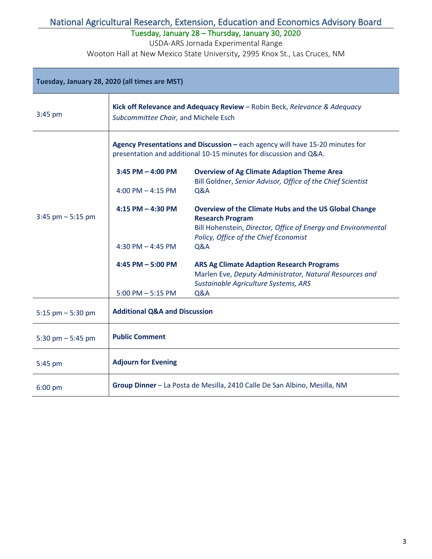Tuesday, January 28 – Thursday, January 30, 2020

USDA-ARS Jornada Experimental Range

| Tuesday, January 28, 2020 (all times are MST) |                                                                                                                                                    |                                                                                                                  |  |
|-----------------------------------------------|----------------------------------------------------------------------------------------------------------------------------------------------------|------------------------------------------------------------------------------------------------------------------|--|
| 3:45 pm                                       | Kick off Relevance and Adequacy Review - Robin Beck, Relevance & Adequacy<br>Subcommittee Chair, and Michele Esch                                  |                                                                                                                  |  |
|                                               | Agency Presentations and Discussion - each agency will have 15-20 minutes for<br>presentation and additional 10-15 minutes for discussion and Q&A. |                                                                                                                  |  |
| $3:45$ pm $-5:15$ pm                          | $3:45$ PM $-$ 4:00 PM                                                                                                                              | <b>Overview of Ag Climate Adaption Theme Area</b><br>Bill Goldner, Senior Advisor, Office of the Chief Scientist |  |
|                                               | 4:00 PM $-$ 4:15 PM                                                                                                                                | Q&A                                                                                                              |  |
|                                               | $4:15$ PM $- 4:30$ PM                                                                                                                              | <b>Overview of the Climate Hubs and the US Global Change</b><br><b>Research Program</b>                          |  |
|                                               | 4:30 PM $-$ 4:45 PM                                                                                                                                | Bill Hohenstein, Director, Office of Energy and Environmental<br>Policy, Office of the Chief Economist<br>Q&A    |  |
|                                               |                                                                                                                                                    |                                                                                                                  |  |
|                                               | 4:45 PM $-$ 5:00 PM                                                                                                                                | <b>ARS Ag Climate Adaption Research Programs</b><br>Marlen Eve, Deputy Administrator, Natural Resources and      |  |
|                                               | $5:00$ PM $-5:15$ PM                                                                                                                               | Sustainable Agriculture Systems, ARS<br>Q&A                                                                      |  |
| $5:15$ pm $-5:30$ pm                          | <b>Additional Q&amp;A and Discussion</b>                                                                                                           |                                                                                                                  |  |
| 5:30 pm $-$ 5:45 pm                           | <b>Public Comment</b>                                                                                                                              |                                                                                                                  |  |
| 5:45 pm                                       | <b>Adjourn for Evening</b>                                                                                                                         |                                                                                                                  |  |
| $6:00$ pm                                     | Group Dinner - La Posta de Mesilla, 2410 Calle De San Albino, Mesilla, NM                                                                          |                                                                                                                  |  |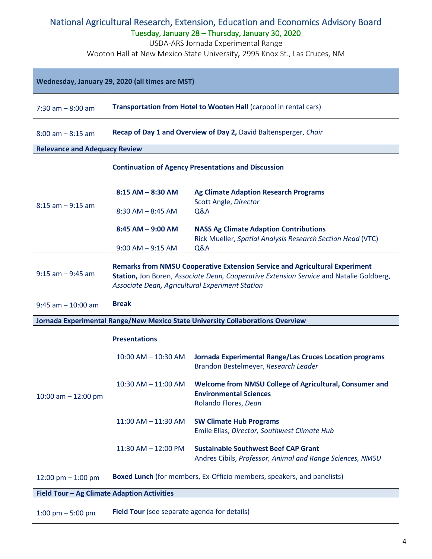Tuesday, January 28 – Thursday, January 30, 2020

USDA-ARS Jornada Experimental Range

| Wednesday, January 29, 2020 (all times are MST) |                                                                                                                                                                                                                                  |                                                                                                                  |  |
|-------------------------------------------------|----------------------------------------------------------------------------------------------------------------------------------------------------------------------------------------------------------------------------------|------------------------------------------------------------------------------------------------------------------|--|
| $7:30$ am $-8:00$ am                            | Transportation from Hotel to Wooten Hall (carpool in rental cars)                                                                                                                                                                |                                                                                                                  |  |
| $8:00$ am $-8:15$ am                            | Recap of Day 1 and Overview of Day 2, David Baltensperger, Chair                                                                                                                                                                 |                                                                                                                  |  |
| <b>Relevance and Adequacy Review</b>            |                                                                                                                                                                                                                                  |                                                                                                                  |  |
|                                                 | <b>Continuation of Agency Presentations and Discussion</b>                                                                                                                                                                       |                                                                                                                  |  |
|                                                 | $8:15$ AM $-$ 8:30 AM                                                                                                                                                                                                            | <b>Ag Climate Adaption Research Programs</b><br>Scott Angle, Director                                            |  |
| $8:15$ am $-9:15$ am                            | $8:30$ AM $- 8:45$ AM                                                                                                                                                                                                            | Q&A                                                                                                              |  |
|                                                 | $8:45$ AM $-$ 9:00 AM                                                                                                                                                                                                            | <b>NASS Ag Climate Adaption Contributions</b><br>Rick Mueller, Spatial Analysis Research Section Head (VTC)      |  |
|                                                 | $9:00$ AM $-9:15$ AM                                                                                                                                                                                                             | Q&A                                                                                                              |  |
| $9:15$ am $-9:45$ am                            | <b>Remarks from NMSU Cooperative Extension Service and Agricultural Experiment</b><br>Station, Jon Boren, Associate Dean, Cooperative Extension Service and Natalie Goldberg,<br>Associate Dean, Agricultural Experiment Station |                                                                                                                  |  |
| $9:45$ am $-10:00$ am                           | <b>Break</b>                                                                                                                                                                                                                     |                                                                                                                  |  |
|                                                 |                                                                                                                                                                                                                                  | Jornada Experimental Range/New Mexico State University Collaborations Overview                                   |  |
|                                                 | <b>Presentations</b>                                                                                                                                                                                                             |                                                                                                                  |  |
| 10:00 am $-$ 12:00 pm                           | $10:00$ AM $- 10:30$ AM                                                                                                                                                                                                          | <b>Jornada Experimental Range/Las Cruces Location programs</b><br>Brandon Bestelmeyer, Research Leader           |  |
|                                                 | $10:30$ AM $- 11:00$ AM                                                                                                                                                                                                          | Welcome from NMSU College of Agricultural, Consumer and<br><b>Environmental Sciences</b><br>Rolando Flores, Dean |  |
|                                                 | $11:00$ AM $- 11:30$ AM                                                                                                                                                                                                          | <b>SW Climate Hub Programs</b><br>Emile Elias, Director, Southwest Climate Hub                                   |  |
|                                                 | 11:30 AM - 12:00 PM                                                                                                                                                                                                              | <b>Sustainable Southwest Beef CAP Grant</b><br>Andres Cibils, Professor, Animal and Range Sciences, NMSU         |  |
| 12:00 pm $-$ 1:00 pm                            | <b>Boxed Lunch</b> (for members, Ex-Officio members, speakers, and panelists)                                                                                                                                                    |                                                                                                                  |  |
| Field Tour - Ag Climate Adaption Activities     |                                                                                                                                                                                                                                  |                                                                                                                  |  |
| 1:00 pm $-$ 5:00 pm                             | Field Tour (see separate agenda for details)                                                                                                                                                                                     |                                                                                                                  |  |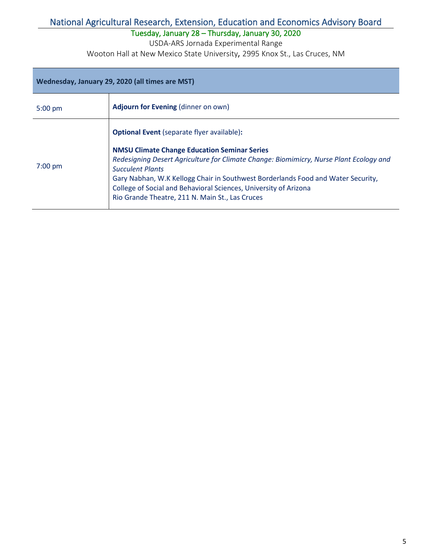Tuesday, January 28 – Thursday, January 30, 2020

USDA-ARS Jornada Experimental Range

| Wednesday, January 29, 2020 (all times are MST) |                                                                                                                                                                                                                                                                                                                                                                                                                                          |  |
|-------------------------------------------------|------------------------------------------------------------------------------------------------------------------------------------------------------------------------------------------------------------------------------------------------------------------------------------------------------------------------------------------------------------------------------------------------------------------------------------------|--|
| $5:00$ pm                                       | <b>Adjourn for Evening (dinner on own)</b>                                                                                                                                                                                                                                                                                                                                                                                               |  |
| $7:00$ pm                                       | <b>Optional Event</b> (separate flyer available):<br><b>NMSU Climate Change Education Seminar Series</b><br>Redesigning Desert Agriculture for Climate Change: Biomimicry, Nurse Plant Ecology and<br><b>Succulent Plants</b><br>Gary Nabhan, W.K Kellogg Chair in Southwest Borderlands Food and Water Security,<br>College of Social and Behavioral Sciences, University of Arizona<br>Rio Grande Theatre, 211 N. Main St., Las Cruces |  |